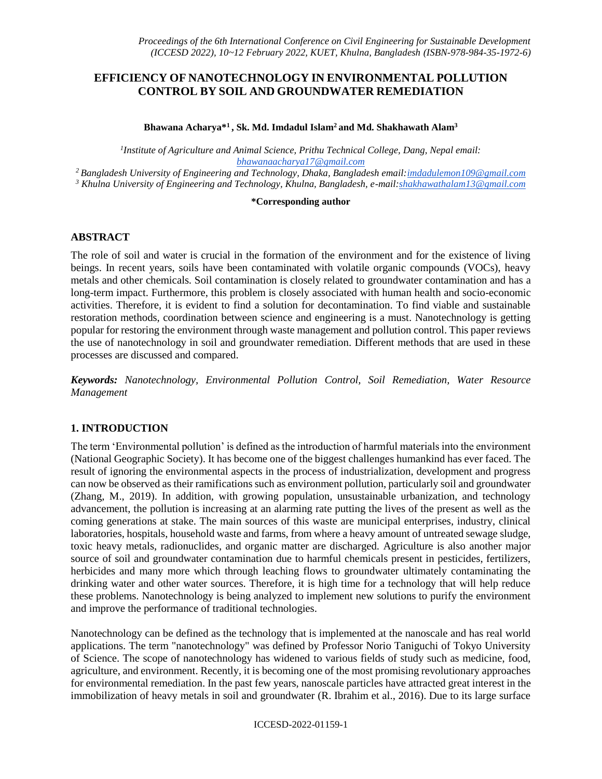# **EFFICIENCY OF NANOTECHNOLOGY IN ENVIRONMENTAL POLLUTION CONTROL BY SOIL AND GROUNDWATER REMEDIATION**

**Bhawana Acharya\*<sup>1</sup>, Sk. Md. Imdadul Islam<sup>2</sup>and Md. Shakhawath Alam<sup>3</sup>**

*1 Institute of Agriculture and Animal Science, Prithu Technical College, Dang, Nepal email: [bhawanaacharya17@gmail.com](mailto:bhawanaacharya17@gmail.com)*

*<sup>2</sup>Bangladesh University of Engineering and Technology, Dhaka, Bangladesh email[:imdadulemon109@gmail.com](mailto:imdadulemon109@gmail.com)  <sup>3</sup> Khulna University of Engineering and Technology, Khulna, Bangladesh, e-mail[:shakhawathalam13@gmail.com](mailto:shakhawathalam13@gmail.com)* 

### **\*Corresponding author**

### **ABSTRACT**

The role of soil and water is crucial in the formation of the environment and for the existence of living beings. In recent years, soils have been contaminated with volatile organic compounds (VOCs), heavy metals and other chemicals. Soil contamination is closely related to groundwater contamination and has a long-term impact. Furthermore, this problem is closely associated with human health and socio-economic activities. Therefore, it is evident to find a solution for decontamination. To find viable and sustainable restoration methods, coordination between science and engineering is a must. Nanotechnology is getting popular for restoring the environment through waste management and pollution control. This paper reviews the use of nanotechnology in soil and groundwater remediation. Different methods that are used in these processes are discussed and compared.

*Keywords: Nanotechnology, Environmental Pollution Control, Soil Remediation, Water Resource Management* 

## **1. INTRODUCTION**

The term 'Environmental pollution' is defined as the introduction of harmful materials into the environment (National Geographic Society). It has become one of the biggest challenges humankind has ever faced. The result of ignoring the environmental aspects in the process of industrialization, development and progress can now be observed as their ramifications such as environment pollution, particularly soil and groundwater (Zhang, M., 2019). In addition, with growing population, unsustainable urbanization, and technology advancement, the pollution is increasing at an alarming rate putting the lives of the present as well as the coming generations at stake. The main sources of this waste are municipal enterprises, industry, clinical laboratories, hospitals, household waste and farms, from where a heavy amount of untreated sewage sludge, toxic heavy metals, radionuclides, and organic matter are discharged. Agriculture is also another major source of soil and groundwater contamination due to harmful chemicals present in pesticides, fertilizers, herbicides and many more which through leaching flows to groundwater ultimately contaminating the drinking water and other water sources. Therefore, it is high time for a technology that will help reduce these problems. Nanotechnology is being analyzed to implement new solutions to purify the environment and improve the performance of traditional technologies.

Nanotechnology can be defined as the technology that is implemented at the nanoscale and has real world applications. The term "nanotechnology" was defined by Professor Norio Taniguchi of Tokyo University of Science. The scope of nanotechnology has widened to various fields of study such as medicine, food, agriculture, and environment. Recently, it is becoming one of the most promising revolutionary approaches for environmental remediation. In the past few years, nanoscale particles have attracted great interest in the immobilization of heavy metals in soil and groundwater (R. Ibrahim et al., 2016). Due to its large surface

### ICCESD-2022-01159-1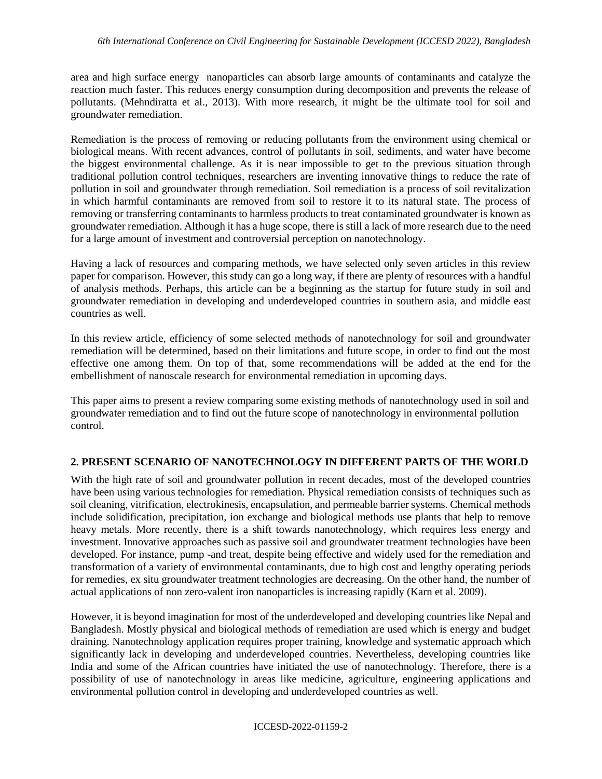area and high surface energy nanoparticles can absorb large amounts of contaminants and catalyze the reaction much faster. This reduces energy consumption during decomposition and prevents the release of pollutants. (Mehndiratta et al., 2013). With more research, it might be the ultimate tool for soil and groundwater remediation.

Remediation is the process of removing or reducing pollutants from the environment using chemical or biological means. With recent advances, control of pollutants in soil, sediments, and water have become the biggest environmental challenge. As it is near impossible to get to the previous situation through traditional pollution control techniques, researchers are inventing innovative things to reduce the rate of pollution in soil and groundwater through remediation. Soil remediation is a process of soil revitalization in which harmful contaminants are removed from soil to restore it to its natural state. The process of removing or transferring contaminants to harmless products to treat contaminated groundwater is known as groundwater remediation. Although it has a huge scope, there is still a lack of more research due to the need for a large amount of investment and controversial perception on nanotechnology.

Having a lack of resources and comparing methods, we have selected only seven articles in this review paper for comparison. However, this study can go a long way, if there are plenty of resources with a handful of analysis methods. Perhaps, this article can be a beginning as the startup for future study in soil and groundwater remediation in developing and underdeveloped countries in southern asia, and middle east countries as well.

In this review article, efficiency of some selected methods of nanotechnology for soil and groundwater remediation will be determined, based on their limitations and future scope, in order to find out the most effective one among them. On top of that, some recommendations will be added at the end for the embellishment of nanoscale research for environmental remediation in upcoming days.

This paper aims to present a review comparing some existing methods of nanotechnology used in soil and groundwater remediation and to find out the future scope of nanotechnology in environmental pollution control.

# **2. PRESENT SCENARIO OF NANOTECHNOLOGY IN DIFFERENT PARTS OF THE WORLD**

With the high rate of soil and groundwater pollution in recent decades, most of the developed countries have been using various technologies for remediation. Physical remediation consists of techniques such as soil cleaning, vitrification, electrokinesis, encapsulation, and permeable barrier systems. Chemical methods include solidification, precipitation, ion exchange and biological methods use plants that help to remove heavy metals. More recently, there is a shift towards nanotechnology, which requires less energy and investment. Innovative approaches such as passive soil and groundwater treatment technologies have been developed. For instance, pump -and treat, despite being effective and widely used for the remediation and transformation of a variety of environmental contaminants, due to high cost and lengthy operating periods for remedies, ex situ groundwater treatment technologies are decreasing. On the other hand, the number of actual applications of non zero-valent iron nanoparticles is increasing rapidly (Karn et al. 2009).

However, it is beyond imagination for most of the underdeveloped and developing countries like Nepal and Bangladesh. Mostly physical and biological methods of remediation are used which is energy and budget draining. Nanotechnology application requires proper training, knowledge and systematic approach which significantly lack in developing and underdeveloped countries. Nevertheless, developing countries like India and some of the African countries have initiated the use of nanotechnology. Therefore, there is a possibility of use of nanotechnology in areas like medicine, agriculture, engineering applications and environmental pollution control in developing and underdeveloped countries as well.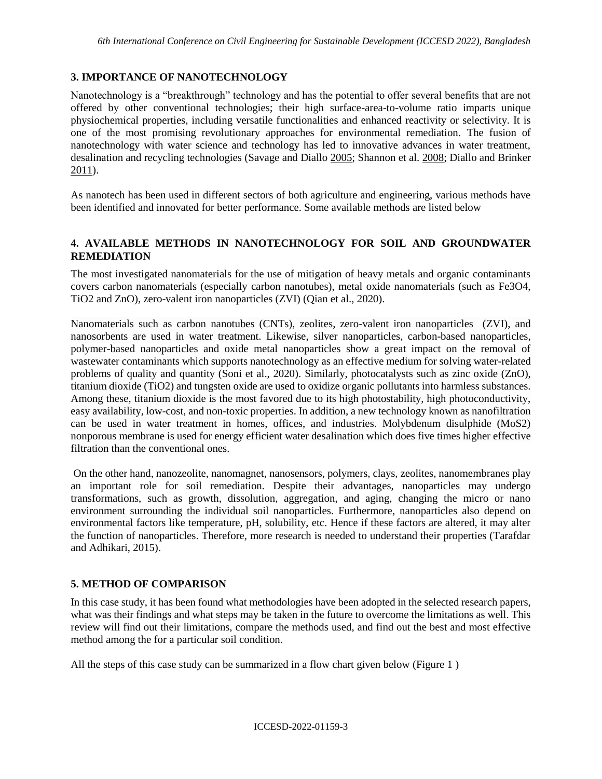## **3. IMPORTANCE OF NANOTECHNOLOGY**

Nanotechnology is a "breakthrough" technology and has the potential to offer several benefits that are not offered by other conventional technologies; their high surface-area-to-volume ratio imparts unique physiochemical properties, including versatile functionalities and enhanced reactivity or selectivity. It is one of the most promising revolutionary approaches for environmental remediation. The fusion of nanotechnology with water science and technology has led to innovative advances in water treatment, desalination and recycling technologies (Savage and Diallo [2005;](https://link.springer.com/article/10.1007/s11051-013-2044-0#ref-CR45) Shannon et al. [2008;](https://link.springer.com/article/10.1007/s11051-013-2044-0#ref-CR48) Diallo and Brinker [2011\)](https://link.springer.com/article/10.1007/s11051-013-2044-0#ref-CR16).

As nanotech has been used in different sectors of both agriculture and engineering, various methods have been identified and innovated for better performance. Some available methods are listed below

## **4. AVAILABLE METHODS IN NANOTECHNOLOGY FOR SOIL AND GROUNDWATER REMEDIATION**

The most investigated nanomaterials for the use of mitigation of heavy metals and organic contaminants covers carbon nanomaterials (especially carbon nanotubes), metal oxide nanomaterials (such as Fe3O4, TiO2 and ZnO), zero-valent iron nanoparticles (ZVI) (Qian et al., 2020).

Nanomaterials such as carbon nanotubes (CNTs), zeolites, zero-valent iron nanoparticles (ZVI), and nanosorbents are used in water treatment. Likewise, silver nanoparticles, carbon-based nanoparticles, polymer-based nanoparticles and oxide metal nanoparticles show a great impact on the removal of wastewater contaminants which supports nanotechnology as an effective medium for solving water-related problems of quality and quantity (Soni et al., 2020). Similarly, photocatalysts such as zinc oxide (ZnO), titanium dioxide (TiO2) and tungsten oxide are used to oxidize organic pollutants into harmless substances. Among these, titanium dioxide is the most favored due to its high photostability, high photoconductivity, easy availability, low-cost, and non-toxic properties. In addition, a new technology known as nanofiltration can be used in water treatment in homes, offices, and industries. Molybdenum disulphide (MoS2) nonporous membrane is used for energy efficient water desalination which does five times higher effective filtration than the conventional ones.

On the other hand, nanozeolite, nanomagnet, nanosensors, polymers, clays, zeolites, nanomembranes play an important role for soil remediation. Despite their advantages, nanoparticles may undergo transformations, such as growth, dissolution, aggregation, and aging, changing the micro or nano environment surrounding the individual soil nanoparticles. Furthermore, nanoparticles also depend on environmental factors like temperature, pH, solubility, etc. Hence if these factors are altered, it may alter the function of nanoparticles. Therefore, more research is needed to understand their properties (Tarafdar and Adhikari, 2015).

# **5. METHOD OF COMPARISON**

In this case study, it has been found what methodologies have been adopted in the selected research papers, what was their findings and what steps may be taken in the future to overcome the limitations as well. This review will find out their limitations, compare the methods used, and find out the best and most effective method among the for a particular soil condition.

All the steps of this case study can be summarized in a flow chart given below (Figure 1 )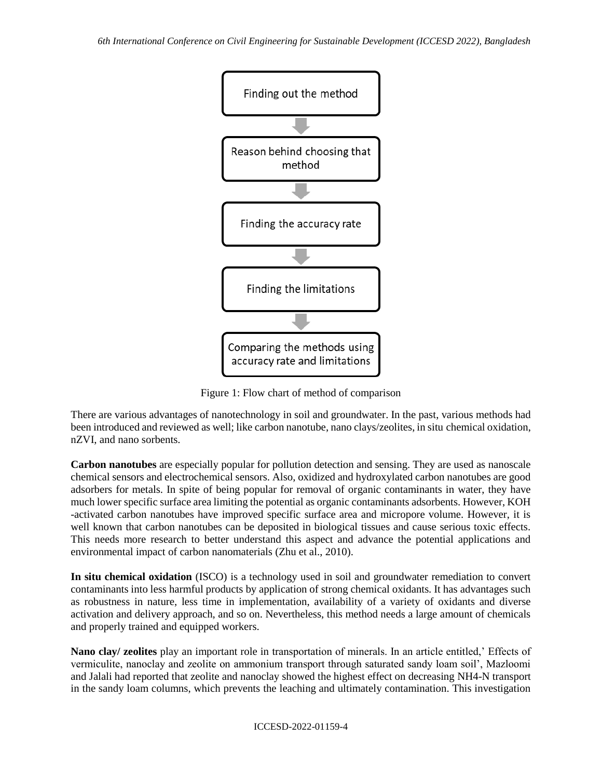

Figure 1: Flow chart of method of comparison

There are various advantages of nanotechnology in soil and groundwater. In the past, various methods had been introduced and reviewed as well; like carbon nanotube, nano clays/zeolites, in situ chemical oxidation, nZVI, and nano sorbents.

**Carbon nanotubes** are especially popular for pollution detection and sensing. They are used as nanoscale chemical sensors and electrochemical sensors. Also, oxidized and hydroxylated carbon nanotubes are good adsorbers for metals. In spite of being popular for removal of organic contaminants in water, they have much lower specific surface area limiting the potential as organic contaminants adsorbents. However, KOH -activated carbon nanotubes have improved specific surface area and micropore volume. However, it is well known that carbon nanotubes can be deposited in biological tissues and cause serious toxic effects. This needs more research to better understand this aspect and advance the potential applications and environmental impact of carbon nanomaterials (Zhu et al., 2010).

**In situ chemical oxidation** (ISCO) is a technology used in soil and groundwater remediation to convert contaminants into less harmful products by application of strong chemical oxidants. It has advantages such as robustness in nature, less time in implementation, availability of a variety of oxidants and diverse activation and delivery approach, and so on. Nevertheless, this method needs a large amount of chemicals and properly trained and equipped workers.

**Nano clay/ zeolites** play an important role in transportation of minerals. In an article entitled,' Effects of vermiculite, nanoclay and zeolite on ammonium transport through saturated sandy loam soil', Mazloomi and Jalali had reported that zeolite and nanoclay showed the highest effect on decreasing NH4-N transport in the sandy loam columns, which prevents the leaching and ultimately contamination. This investigation

### ICCESD-2022-01159-4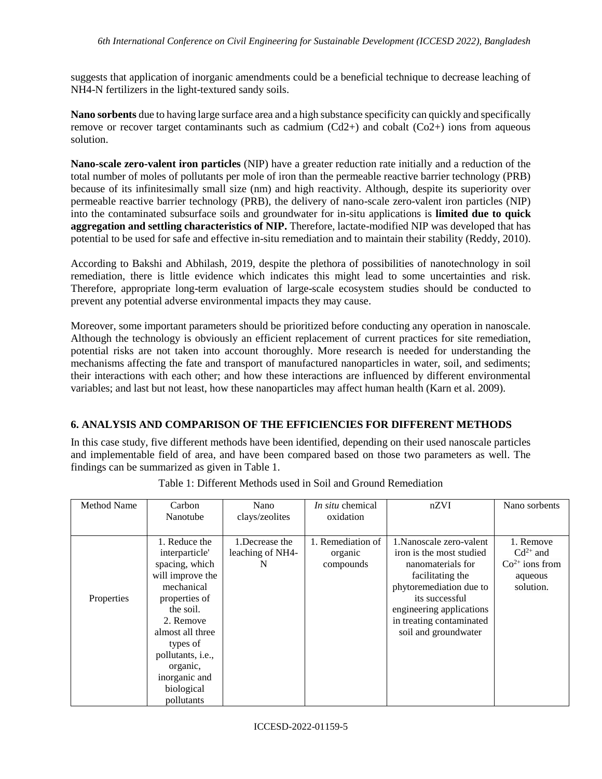suggests that application of inorganic amendments could be a beneficial technique to decrease leaching of NH4-N fertilizers in the light-textured sandy soils.

**Nano sorbents** due to having large surface area and a high substance specificity can quickly and specifically remove or recover target contaminants such as cadmium  $(Cd2+)$  and cobalt  $(Co2+)$  ions from aqueous solution.

**Nano-scale zero-valent iron particles** (NIP) have a greater reduction rate initially and a reduction of the total number of moles of pollutants per mole of iron than the permeable reactive barrier technology (PRB) because of its infinitesimally small size (nm) and high reactivity. Although, despite its superiority over permeable reactive barrier technology (PRB), the delivery of nano-scale zero-valent iron particles (NIP) into the contaminated subsurface soils and groundwater for in-situ applications is **limited due to quick aggregation and settling characteristics of NIP.** Therefore, lactate-modified NIP was developed that has potential to be used for safe and effective in-situ remediation and to maintain their stability (Reddy, 2010).

According to Bakshi and Abhilash, 2019, despite the plethora of possibilities of nanotechnology in soil remediation, there is little evidence which indicates this might lead to some uncertainties and risk. Therefore, appropriate long-term evaluation of large-scale ecosystem studies should be conducted to prevent any potential adverse environmental impacts they may cause.

Moreover, some important parameters should be prioritized before conducting any operation in nanoscale. Although the technology is obviously an efficient replacement of current practices for site remediation, potential risks are not taken into account thoroughly. More research is needed for understanding the mechanisms affecting the fate and transport of manufactured nanoparticles in water, soil, and sediments; their interactions with each other; and how these interactions are influenced by different environmental variables; and last but not least, how these nanoparticles may affect human health (Karn et al. 2009).

# **6. ANALYSIS AND COMPARISON OF THE EFFICIENCIES FOR DIFFERENT METHODS**

In this case study, five different methods have been identified, depending on their used nanoscale particles and implementable field of area, and have been compared based on those two parameters as well. The findings can be summarized as given in Table 1.

| Method Name | Carbon            | Nano             | <i>In situ</i> chemical | nZVI                     | Nano sorbents    |
|-------------|-------------------|------------------|-------------------------|--------------------------|------------------|
|             | Nanotube          | clays/zeolites   | oxidation               |                          |                  |
|             |                   |                  |                         |                          |                  |
|             | 1. Reduce the     | 1. Decrease the  | 1. Remediation of       | 1. Nanoscale zero-valent | 1. Remove        |
|             | interparticle'    | leaching of NH4- | organic                 | iron is the most studied | $Cd^{2+}$ and    |
|             | spacing, which    | N                | compounds               | nanomaterials for        | $Co2+$ ions from |
|             | will improve the  |                  |                         | facilitating the         | aqueous          |
|             | mechanical        |                  |                         | phytoremediation due to  | solution.        |
| Properties  | properties of     |                  |                         | its successful           |                  |
|             | the soil.         |                  |                         | engineering applications |                  |
|             | 2. Remove         |                  |                         | in treating contaminated |                  |
|             | almost all three  |                  |                         | soil and groundwater     |                  |
|             | types of          |                  |                         |                          |                  |
|             | pollutants, i.e., |                  |                         |                          |                  |
|             | organic,          |                  |                         |                          |                  |
|             | inorganic and     |                  |                         |                          |                  |
|             | biological        |                  |                         |                          |                  |
|             | pollutants        |                  |                         |                          |                  |

Table 1: Different Methods used in Soil and Ground Remediation